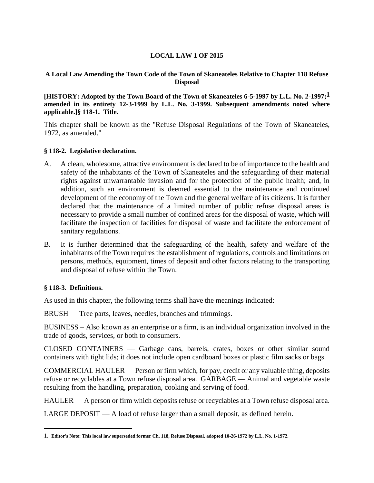# **LOCAL LAW 1 OF 2015**

#### **A Local Law Amending the Town Code of the Town of Skaneateles Relative to Chapter 118 Refuse Disposal**

**[HISTORY: Adopted by the Town Board of the Town of Skaneateles 6-5-1997 by L.L. No. 2-1997;1 amended in its entirety 12-3-1999 by L.L. No. 3-1999. Subsequent amendments noted where applicable.]§ 118-1. Title.**

This chapter shall be known as the "Refuse Disposal Regulations of the Town of Skaneateles, 1972, as amended."

#### **§ 118-2. Legislative declaration.**

- A. A clean, wholesome, attractive environment is declared to be of importance to the health and safety of the inhabitants of the Town of Skaneateles and the safeguarding of their material rights against unwarrantable invasion and for the protection of the public health; and, in addition, such an environment is deemed essential to the maintenance and continued development of the economy of the Town and the general welfare of its citizens. It is further declared that the maintenance of a limited number of public refuse disposal areas is necessary to provide a small number of confined areas for the disposal of waste, which will facilitate the inspection of facilities for disposal of waste and facilitate the enforcement of sanitary regulations.
- B. It is further determined that the safeguarding of the health, safety and welfare of the inhabitants of the Town requires the establishment of regulations, controls and limitations on persons, methods, equipment, times of deposit and other factors relating to the transporting and disposal of refuse within the Town.

#### **§ 118-3. Definitions.**

 $\overline{a}$ 

As used in this chapter, the following terms shall have the meanings indicated:

BRUSH — Tree parts, leaves, needles, branches and trimmings.

BUSINESS – Also known as an enterprise or a firm, is an individual organization involved in the trade of goods, services, or both to consumers.

CLOSED CONTAINERS — Garbage cans, barrels, crates, boxes or other similar sound containers with tight lids; it does not include open cardboard boxes or plastic film sacks or bags.

COMMERCIAL HAULER — Person or firm which, for pay, credit or any valuable thing, deposits refuse or recyclables at a Town refuse disposal area. GARBAGE — Animal and vegetable waste resulting from the handling, preparation, cooking and serving of food.

HAULER — A person or firm which deposits refuse or recyclables at a Town refuse disposal area.

LARGE DEPOSIT — A load of refuse larger than a small deposit, as defined herein.

<sup>1.</sup> **Editor's Note: This local law superseded former Ch. 118, Refuse Disposal, adopted 10-26-1972 by L.L. No. 1-1972.**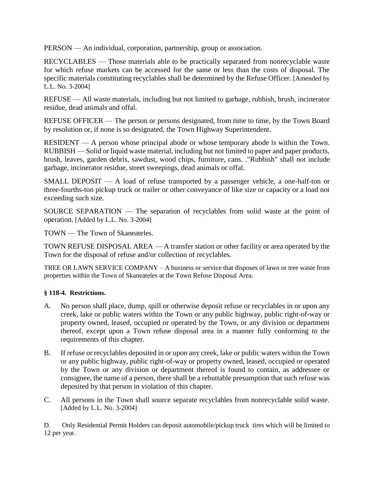PERSON — An individual, corporation, partnership, group or association.

RECYCLABLES — Those materials able to be practically separated from nonrecyclable waste for which refuse markets can be accessed for the same or less than the costs of disposal. The specific materials constituting recyclables shall be determined by the Refuse Officer. [Amended by L.L. No. 3-2004]

REFUSE — All waste materials, including but not limited to garbage, rubbish, brush, incinerator residue, dead animals and offal.

REFUSE OFFICER — The person or persons designated, from time to time, by the Town Board by resolution or, if none is so designated, the Town Highway Superintendent.

RESIDENT — A person whose principal abode or whose temporary abode is within the Town. RUBBISH — Solid or liquid waste material, including but not limited to paper and paper products, brush, leaves, garden debris, sawdust, wood chips, furniture, cans. ."Rubbish" shall not include garbage, incinerator residue, street sweepings, dead animals or offal.

SMALL DEPOSIT — A load of refuse transported by a passenger vehicle, a one-half-ton or three-fourths-ton pickup truck or trailer or other conveyance of like size or capacity or a load not exceeding such size.

SOURCE SEPARATION — The separation of recyclables from solid waste at the point of operation. [Added by L.L. No. 3-2004]

TOWN — The Town of Skaneateles.

TOWN REFUSE DISPOSAL AREA — A transfer station or other facility or area operated by the Town for the disposal of refuse and/or collection of recyclables.

TREE OR LAWN SERVICE COMPANY – A business or service that disposes of lawn or tree waste from properties within the Town of Skaneateles at the Town Refuse Disposal Area.

# **§ 118-4. Restrictions.**

- A. No person shall place, dump, spill or otherwise deposit refuse or recyclables in or upon any creek, lake or public waters within the Town or any public highway, public right-of-way or property owned, leased, occupied or operated by the Town, or any division or department thereof, except upon a Town refuse disposal area in a manner fully conforming to the requirements of this chapter.
- B. If refuse or recyclables deposited in or upon any creek, lake or public waters within the Town or any public highway, public right-of-way or property owned, leased, occupied or operated by the Town or any division or department thereof is found to contain, as addressee or consignee, the name of a person, there shall be a rebuttable presumption that such refuse was deposited by that person in violation of this chapter.
- C. All persons in the Town shall source separate recyclables from nonrecyclable solid waste. [Added by L.L. No. 3-2004]

D. Only Residential Permit Holders can deposit automobile/pickup truck tires which will be limited to 12 per year.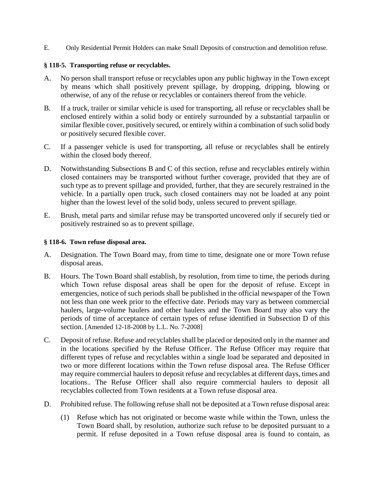E. Only Residential Permit Holders can make Small Deposits of construction and demolition refuse.

### **§ 118-5. Transporting refuse or recyclables.**

- A. No person shall transport refuse or recyclables upon any public highway in the Town except by means which shall positively prevent spillage, by dropping, dripping, blowing or otherwise, of any of the refuse or recyclables or containers thereof from the vehicle.
- B. If a truck, trailer or similar vehicle is used for transporting, all refuse or recyclables shall be enclosed entirely within a solid body or entirely surrounded by a substantial tarpaulin or similar flexible cover, positively secured, or entirely within a combination of such solid body or positively secured flexible cover.
- C. If a passenger vehicle is used for transporting, all refuse or recyclables shall be entirely within the closed body thereof.
- D. Notwithstanding Subsections B and C of this section, refuse and recyclables entirely within closed containers may be transported without further coverage, provided that they are of such type as to prevent spillage and provided, further, that they are securely restrained in the vehicle. In a partially open truck, such closed containers may not be loaded at any point higher than the lowest level of the solid body, unless secured to prevent spillage.
- E. Brush, metal parts and similar refuse may be transported uncovered only if securely tied or positively restrained so as to prevent spillage.

### **§ 118-6. Town refuse disposal area.**

- A. Designation. The Town Board may, from time to time, designate one or more Town refuse disposal areas.
- B. Hours. The Town Board shall establish, by resolution, from time to time, the periods during which Town refuse disposal areas shall be open for the deposit of refuse. Except in emergencies, notice of such periods shall be published in the official newspaper of the Town not less than one week prior to the effective date. Periods may vary as between commercial haulers, large-volume haulers and other haulers and the Town Board may also vary the periods of time of acceptance of certain types of refuse identified in Subsection D of this section. [Amended 12-18-2008 by L.L. No. 7-2008]
- C. Deposit of refuse. Refuse and recyclables shall be placed or deposited only in the manner and in the locations specified by the Refuse Officer. The Refuse Officer may require that different types of refuse and recyclables within a single load be separated and deposited in two or more different locations within the Town refuse disposal area. The Refuse Officer may require commercial haulers to deposit refuse and recyclables at different days, times and locations.. The Refuse Officer shall also require commercial haulers to deposit all recyclables collected from Town residents at a Town refuse disposal area.
- D. Prohibited refuse. The following refuse shall not be deposited at a Town refuse disposal area:
	- (1) Refuse which has not originated or become waste while within the Town, unless the Town Board shall, by resolution, authorize such refuse to be deposited pursuant to a permit. If refuse deposited in a Town refuse disposal area is found to contain, as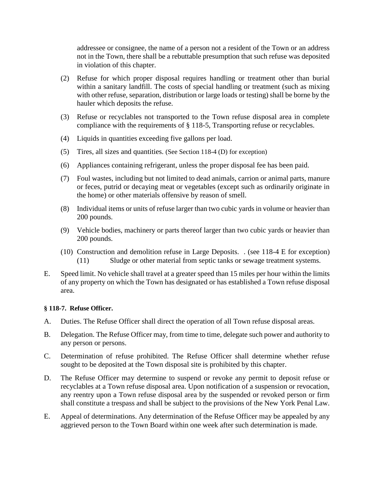addressee or consignee, the name of a person not a resident of the Town or an address not in the Town, there shall be a rebuttable presumption that such refuse was deposited in violation of this chapter.

- (2) Refuse for which proper disposal requires handling or treatment other than burial within a sanitary landfill. The costs of special handling or treatment (such as mixing with other refuse, separation, distribution or large loads or testing) shall be borne by the hauler which deposits the refuse.
- (3) Refuse or recyclables not transported to the Town refuse disposal area in complete compliance with the requirements of § 118-5, Transporting refuse or recyclables.
- (4) Liquids in quantities exceeding five gallons per load.
- (5) Tires, all sizes and quantities. (See Section 118-4 (D) for exception)
- (6) Appliances containing refrigerant, unless the proper disposal fee has been paid.
- (7) Foul wastes, including but not limited to dead animals, carrion or animal parts, manure or feces, putrid or decaying meat or vegetables (except such as ordinarily originate in the home) or other materials offensive by reason of smell.
- (8) Individual items or units of refuse larger than two cubic yards in volume or heavier than 200 pounds.
- (9) Vehicle bodies, machinery or parts thereof larger than two cubic yards or heavier than 200 pounds.
- (10) Construction and demolition refuse in Large Deposits. . (see 118-4 E for exception) (11) Sludge or other material from septic tanks or sewage treatment systems.
- E. Speed limit. No vehicle shall travel at a greater speed than 15 miles per hour within the limits of any property on which the Town has designated or has established a Town refuse disposal area.

# **§ 118-7. Refuse Officer.**

- A. Duties. The Refuse Officer shall direct the operation of all Town refuse disposal areas.
- B. Delegation. The Refuse Officer may, from time to time, delegate such power and authority to any person or persons.
- C. Determination of refuse prohibited. The Refuse Officer shall determine whether refuse sought to be deposited at the Town disposal site is prohibited by this chapter.
- D. The Refuse Officer may determine to suspend or revoke any permit to deposit refuse or recyclables at a Town refuse disposal area. Upon notification of a suspension or revocation, any reentry upon a Town refuse disposal area by the suspended or revoked person or firm shall constitute a trespass and shall be subject to the provisions of the New York Penal Law.
- E. Appeal of determinations. Any determination of the Refuse Officer may be appealed by any aggrieved person to the Town Board within one week after such determination is made.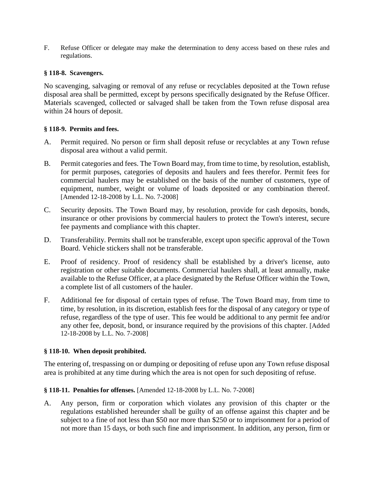F. Refuse Officer or delegate may make the determination to deny access based on these rules and regulations.

# **§ 118-8. Scavengers.**

No scavenging, salvaging or removal of any refuse or recyclables deposited at the Town refuse disposal area shall be permitted, except by persons specifically designated by the Refuse Officer. Materials scavenged, collected or salvaged shall be taken from the Town refuse disposal area within 24 hours of deposit.

# **§ 118-9. Permits and fees.**

- A. Permit required. No person or firm shall deposit refuse or recyclables at any Town refuse disposal area without a valid permit.
- B. Permit categories and fees. The Town Board may, from time to time, by resolution, establish, for permit purposes, categories of deposits and haulers and fees therefor. Permit fees for commercial haulers may be established on the basis of the number of customers, type of equipment, number, weight or volume of loads deposited or any combination thereof. [Amended 12-18-2008 by L.L. No. 7-2008]
- C. Security deposits. The Town Board may, by resolution, provide for cash deposits, bonds, insurance or other provisions by commercial haulers to protect the Town's interest, secure fee payments and compliance with this chapter.
- D. Transferability. Permits shall not be transferable, except upon specific approval of the Town Board. Vehicle stickers shall not be transferable.
- E. Proof of residency. Proof of residency shall be established by a driver's license, auto registration or other suitable documents. Commercial haulers shall, at least annually, make available to the Refuse Officer, at a place designated by the Refuse Officer within the Town, a complete list of all customers of the hauler.
- F. Additional fee for disposal of certain types of refuse. The Town Board may, from time to time, by resolution, in its discretion, establish fees for the disposal of any category or type of refuse, regardless of the type of user. This fee would be additional to any permit fee and/or any other fee, deposit, bond, or insurance required by the provisions of this chapter. [Added 12-18-2008 by L.L. No. 7-2008]

#### **§ 118-10. When deposit prohibited.**

The entering of, trespassing on or dumping or depositing of refuse upon any Town refuse disposal area is prohibited at any time during which the area is not open for such depositing of refuse.

# **§ 118-11. Penalties for offenses.** [Amended 12-18-2008 by L.L. No. 7-2008]

A. Any person, firm or corporation which violates any provision of this chapter or the regulations established hereunder shall be guilty of an offense against this chapter and be subject to a fine of not less than \$50 nor more than \$250 or to imprisonment for a period of not more than 15 days, or both such fine and imprisonment. In addition, any person, firm or